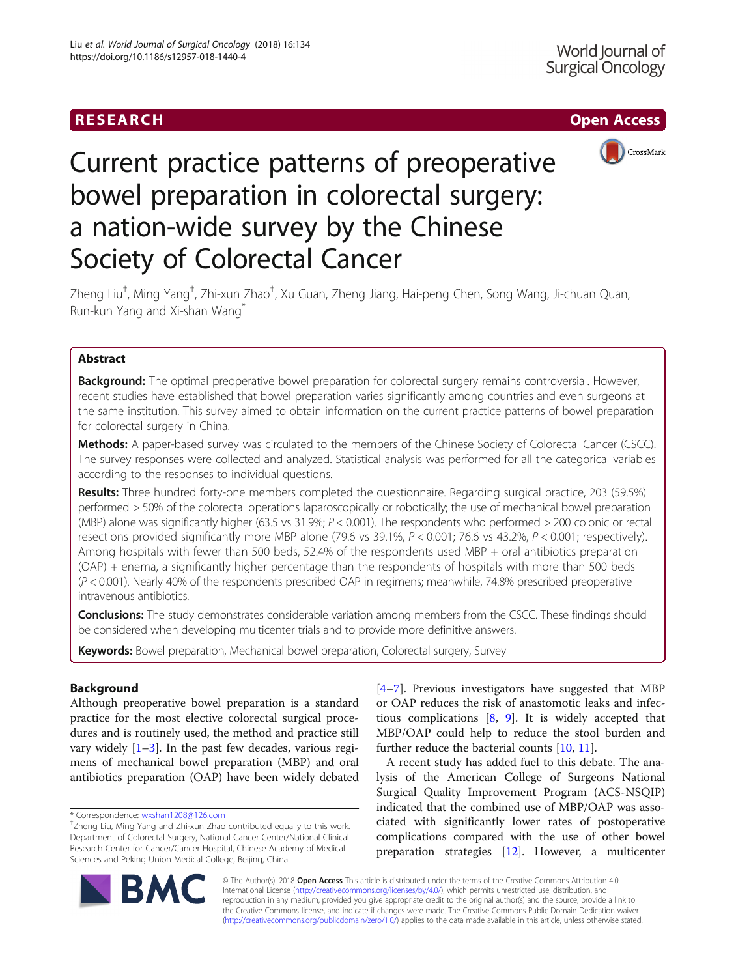## **RESEARCH CH Open Access**



# Current practice patterns of preoperative bowel preparation in colorectal surgery: a nation-wide survey by the Chinese Society of Colorectal Cancer

Zheng Liu<sup>t</sup>, Ming Yang<sup>†</sup>, Zhi-xun Zhao<sup>†</sup>, Xu Guan, Zheng Jiang, Hai-peng Chen, Song Wang, Ji-chuan Quan, Run-kun Yang and Xi-shan Wang

## Abstract

**Background:** The optimal preoperative bowel preparation for colorectal surgery remains controversial. However, recent studies have established that bowel preparation varies significantly among countries and even surgeons at the same institution. This survey aimed to obtain information on the current practice patterns of bowel preparation for colorectal surgery in China.

Methods: A paper-based survey was circulated to the members of the Chinese Society of Colorectal Cancer (CSCC). The survey responses were collected and analyzed. Statistical analysis was performed for all the categorical variables according to the responses to individual questions.

Results: Three hundred forty-one members completed the questionnaire. Regarding surgical practice, 203 (59.5%) performed > 50% of the colorectal operations laparoscopically or robotically; the use of mechanical bowel preparation (MBP) alone was significantly higher (63.5 vs 31.9%; P < 0.001). The respondents who performed > 200 colonic or rectal resections provided significantly more MBP alone (79.6 vs 39.1%,  $P < 0.001$ ; 76.6 vs 43.2%,  $P < 0.001$ ; respectively). Among hospitals with fewer than 500 beds, 52.4% of the respondents used MBP + oral antibiotics preparation (OAP) + enema, a significantly higher percentage than the respondents of hospitals with more than 500 beds (P < 0.001). Nearly 40% of the respondents prescribed OAP in regimens; meanwhile, 74.8% prescribed preoperative intravenous antibiotics.

**Conclusions:** The study demonstrates considerable variation among members from the CSCC. These findings should be considered when developing multicenter trials and to provide more definitive answers.

Keywords: Bowel preparation, Mechanical bowel preparation, Colorectal surgery, Survey

## Background

Although preoperative bowel preparation is a standard practice for the most elective colorectal surgical procedures and is routinely used, the method and practice still vary widely  $[1-3]$  $[1-3]$  $[1-3]$  $[1-3]$ . In the past few decades, various regimens of mechanical bowel preparation (MBP) and oral antibiotics preparation (OAP) have been widely debated

\* Correspondence: [wxshan1208@126.com](mailto:wxshan1208@126.com) †

[[4](#page-5-0)–[7\]](#page-6-0). Previous investigators have suggested that MBP or OAP reduces the risk of anastomotic leaks and infectious complications [\[8](#page-6-0), [9\]](#page-6-0). It is widely accepted that MBP/OAP could help to reduce the stool burden and further reduce the bacterial counts [\[10](#page-6-0), [11\]](#page-6-0).

A recent study has added fuel to this debate. The analysis of the American College of Surgeons National Surgical Quality Improvement Program (ACS-NSQIP) indicated that the combined use of MBP/OAP was associated with significantly lower rates of postoperative complications compared with the use of other bowel preparation strategies [\[12](#page-6-0)]. However, a multicenter



© The Author(s). 2018 Open Access This article is distributed under the terms of the Creative Commons Attribution 4.0 International License [\(http://creativecommons.org/licenses/by/4.0/](http://creativecommons.org/licenses/by/4.0/)), which permits unrestricted use, distribution, and reproduction in any medium, provided you give appropriate credit to the original author(s) and the source, provide a link to the Creative Commons license, and indicate if changes were made. The Creative Commons Public Domain Dedication waiver [\(http://creativecommons.org/publicdomain/zero/1.0/](http://creativecommons.org/publicdomain/zero/1.0/)) applies to the data made available in this article, unless otherwise stated.

<sup>&</sup>lt;sup>+</sup>Zheng Liu, Ming Yang and Zhi-xun Zhao contributed equally to this work. Department of Colorectal Surgery, National Cancer Center/National Clinical Research Center for Cancer/Cancer Hospital, Chinese Academy of Medical Sciences and Peking Union Medical College, Beijing, China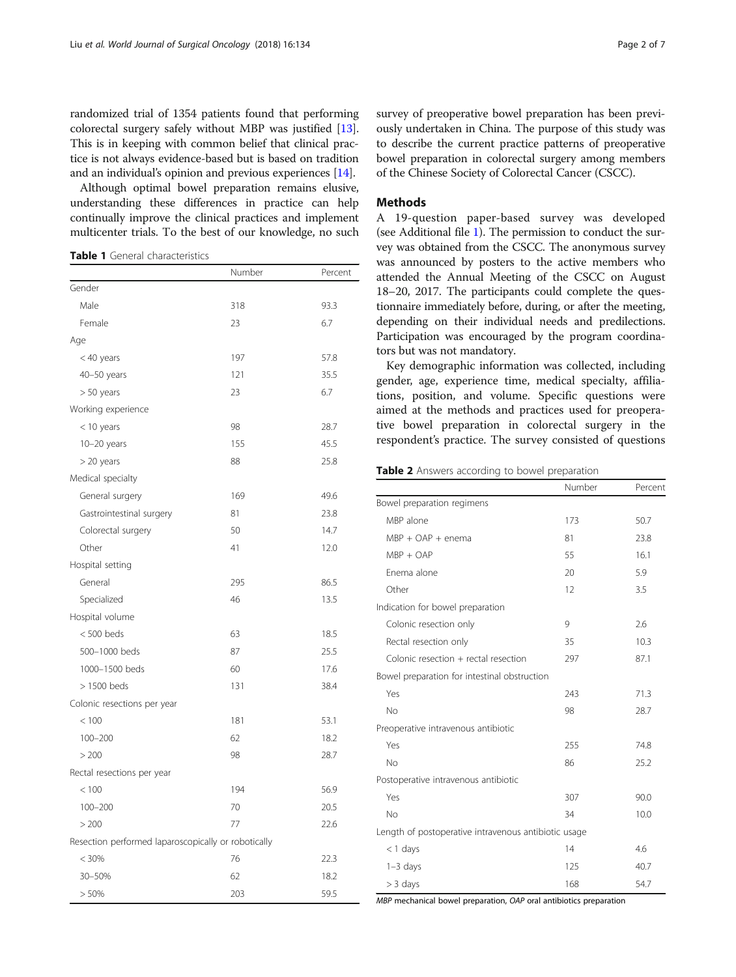<span id="page-1-0"></span>randomized trial of 1354 patients found that performing colorectal surgery safely without MBP was justified [[13](#page-6-0)]. This is in keeping with common belief that clinical practice is not always evidence-based but is based on tradition and an individual's opinion and previous experiences [[14\]](#page-6-0).

Although optimal bowel preparation remains elusive, understanding these differences in practice can help continually improve the clinical practices and implement multicenter trials. To the best of our knowledge, no such

Table 1 General characteristics

|                                                     | Number | Percent |
|-----------------------------------------------------|--------|---------|
| Gender                                              |        |         |
| Male                                                | 318    | 93.3    |
| Female                                              | 23     | 6.7     |
| Age                                                 |        |         |
| $<$ 40 years                                        | 197    | 57.8    |
| 40-50 years                                         | 121    | 35.5    |
| $> 50$ years                                        | 23     | 6.7     |
| Working experience                                  |        |         |
| $<$ 10 years                                        | 98     | 28.7    |
| $10-20$ years                                       | 155    | 45.5    |
| $>$ 20 years                                        | 88     | 25.8    |
| Medical specialty                                   |        |         |
| General surgery                                     | 169    | 49.6    |
| Gastrointestinal surgery                            | 81     | 23.8    |
| Colorectal surgery                                  | 50     | 14.7    |
| Other                                               | 41     | 12.0    |
| Hospital setting                                    |        |         |
| General                                             | 295    | 86.5    |
| Specialized                                         | 46     | 13.5    |
| Hospital volume                                     |        |         |
| $< 500$ beds                                        | 63     | 18.5    |
| 500-1000 beds                                       | 87     | 25.5    |
| 1000-1500 beds                                      | 60     | 17.6    |
| $>1500$ beds                                        | 131    | 38.4    |
| Colonic resections per year                         |        |         |
| < 100                                               | 181    | 53.1    |
| $100 - 200$                                         | 62     | 18.2    |
| > 200                                               | 98     | 28.7    |
| Rectal resections per year                          |        |         |
| < 100                                               | 194    | 56.9    |
| $100 - 200$                                         | 70     | 20.5    |
| > 200                                               | 77     | 22.6    |
| Resection performed laparoscopically or robotically |        |         |
| < 30%                                               | 76     | 22.3    |
| 30-50%                                              | 62     | 18.2    |
| > 50%                                               | 203    | 59.5    |

survey of preoperative bowel preparation has been previously undertaken in China. The purpose of this study was to describe the current practice patterns of preoperative bowel preparation in colorectal surgery among members of the Chinese Society of Colorectal Cancer (CSCC).

## Methods

A 19-question paper-based survey was developed (see Additional file [1\)](#page-5-0). The permission to conduct the survey was obtained from the CSCC. The anonymous survey was announced by posters to the active members who attended the Annual Meeting of the CSCC on August 18–20, 2017. The participants could complete the questionnaire immediately before, during, or after the meeting, depending on their individual needs and predilections. Participation was encouraged by the program coordinators but was not mandatory.

Key demographic information was collected, including gender, age, experience time, medical specialty, affiliations, position, and volume. Specific questions were aimed at the methods and practices used for preoperative bowel preparation in colorectal surgery in the respondent's practice. The survey consisted of questions

Table 2 Answers according to bowel preparation

|                                                      | Number | Percent |
|------------------------------------------------------|--------|---------|
| Bowel preparation regimens                           |        |         |
| MBP alone                                            | 173    | 50.7    |
| $MBP + OAP + enema$                                  | 81     | 23.8    |
| $MBP + OAP$                                          | 55     | 16.1    |
| Enema alone                                          | 20     | 5.9     |
| Other                                                | 12     | 3.5     |
| Indication for bowel preparation                     |        |         |
| Colonic resection only                               | 9      | 2.6     |
| Rectal resection only                                | 35     | 10.3    |
| Colonic resection $+$ rectal resection               | 297    | 87.1    |
| Bowel preparation for intestinal obstruction         |        |         |
| Yes                                                  | 243    | 71.3    |
| No                                                   | 98     | 28.7    |
| Preoperative intravenous antibiotic                  |        |         |
| Yes                                                  | 255    | 74.8    |
| No                                                   | 86     | 25.2    |
| Postoperative intravenous antibiotic                 |        |         |
| Yes                                                  | 307    | 90.0    |
| No                                                   | 34     | 10.0    |
| Length of postoperative intravenous antibiotic usage |        |         |
| $<$ 1 days                                           | 14     | 4.6     |
| $1-3$ days                                           | 125    | 40.7    |
| $>$ 3 days                                           | 168    | 54.7    |

MBP mechanical bowel preparation, OAP oral antibiotics preparation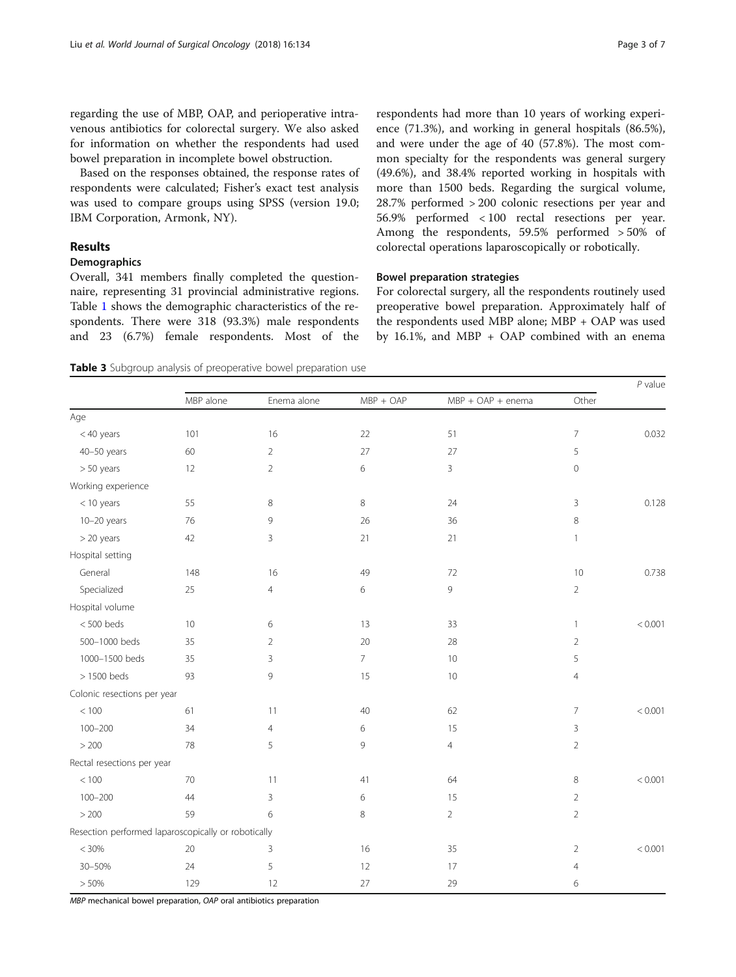<span id="page-2-0"></span>regarding the use of MBP, OAP, and perioperative intravenous antibiotics for colorectal surgery. We also asked for information on whether the respondents had used bowel preparation in incomplete bowel obstruction.

Based on the responses obtained, the response rates of respondents were calculated; Fisher's exact test analysis was used to compare groups using SPSS (version 19.0; IBM Corporation, Armonk, NY).

## Results

## Demographics

Overall, 341 members finally completed the questionnaire, representing 31 provincial administrative regions. Table [1](#page-1-0) shows the demographic characteristics of the respondents. There were 318 (93.3%) male respondents and 23 (6.7%) female respondents. Most of the

respondents had more than 10 years of working experience (71.3%), and working in general hospitals (86.5%), and were under the age of 40 (57.8%). The most common specialty for the respondents was general surgery (49.6%), and 38.4% reported working in hospitals with more than 1500 beds. Regarding the surgical volume, 28.7% performed > 200 colonic resections per year and 56.9% performed < 100 rectal resections per year. Among the respondents, 59.5% performed > 50% of colorectal operations laparoscopically or robotically.

## Bowel preparation strategies

For colorectal surgery, all the respondents routinely used preoperative bowel preparation. Approximately half of the respondents used MBP alone; MBP + OAP was used by 16.1%, and MBP + OAP combined with an enema

Table 3 Subgroup analysis of preoperative bowel preparation use

|                                                     | MBP alone | Enema alone    | $MBP + OAP$    | $MBP + OAP + enema$ | Other          |         |  |
|-----------------------------------------------------|-----------|----------------|----------------|---------------------|----------------|---------|--|
| Age                                                 |           |                |                |                     |                |         |  |
| < 40 years                                          | 101       | 16             | 22             | 51                  | $\overline{7}$ | 0.032   |  |
| $40 - 50$ years                                     | 60        | $\overline{2}$ | 27             | 27                  | 5              |         |  |
| > 50 years                                          | 12        | $\overline{2}$ | 6              | 3                   | $\mathbf 0$    |         |  |
| Working experience                                  |           |                |                |                     |                |         |  |
| $<$ 10 years                                        | 55        | 8              | 8              | 24                  | 3              | 0.128   |  |
| $10-20$ years                                       | 76        | 9              | 26             | 36                  | 8              |         |  |
| > 20 years                                          | 42        | 3              | 21             | 21                  | $\mathbf{1}$   |         |  |
| Hospital setting                                    |           |                |                |                     |                |         |  |
| General                                             | 148       | 16             | 49             | 72                  | 10             | 0.738   |  |
| Specialized                                         | 25        | $\overline{4}$ | 6              | 9                   | $\overline{2}$ |         |  |
| Hospital volume                                     |           |                |                |                     |                |         |  |
| $< 500$ beds                                        | 10        | 6              | 13             | 33                  | $\mathbf{1}$   | < 0.001 |  |
| 500-1000 beds                                       | 35        | $\overline{2}$ | 20             | 28                  | $\overline{2}$ |         |  |
| 1000-1500 beds                                      | 35        | 3              | 7 <sup>1</sup> | 10                  | 5              |         |  |
| $>1500$ beds                                        | 93        | 9              | 15             | 10                  | $\overline{4}$ |         |  |
| Colonic resections per year                         |           |                |                |                     |                |         |  |
| < 100                                               | 61        | 11             | 40             | 62                  | $\overline{7}$ | < 0.001 |  |
| $100 - 200$                                         | 34        | $\overline{4}$ | 6              | 15                  | $\mathsf 3$    |         |  |
| > 200                                               | 78        | 5              | 9              | 4                   | $\overline{2}$ |         |  |
| Rectal resections per year                          |           |                |                |                     |                |         |  |
| < 100                                               | 70        | 11             | 41             | 64                  | $\,8\,$        | < 0.001 |  |
| $100 - 200$                                         | 44        | 3              | 6              | 15                  | $\overline{2}$ |         |  |
| $>200$                                              | 59        | 6              | 8              | $\overline{2}$      | $\overline{2}$ |         |  |
| Resection performed laparoscopically or robotically |           |                |                |                     |                |         |  |
| < 30%                                               | 20        | 3              | 16             | 35                  | $\overline{2}$ | < 0.001 |  |
| 30-50%                                              | 24        | 5              | 12             | 17                  | $\overline{4}$ |         |  |
| > 50%                                               | 129       | 12             | 27             | 29                  | 6              |         |  |

MBP mechanical bowel preparation, OAP oral antibiotics preparation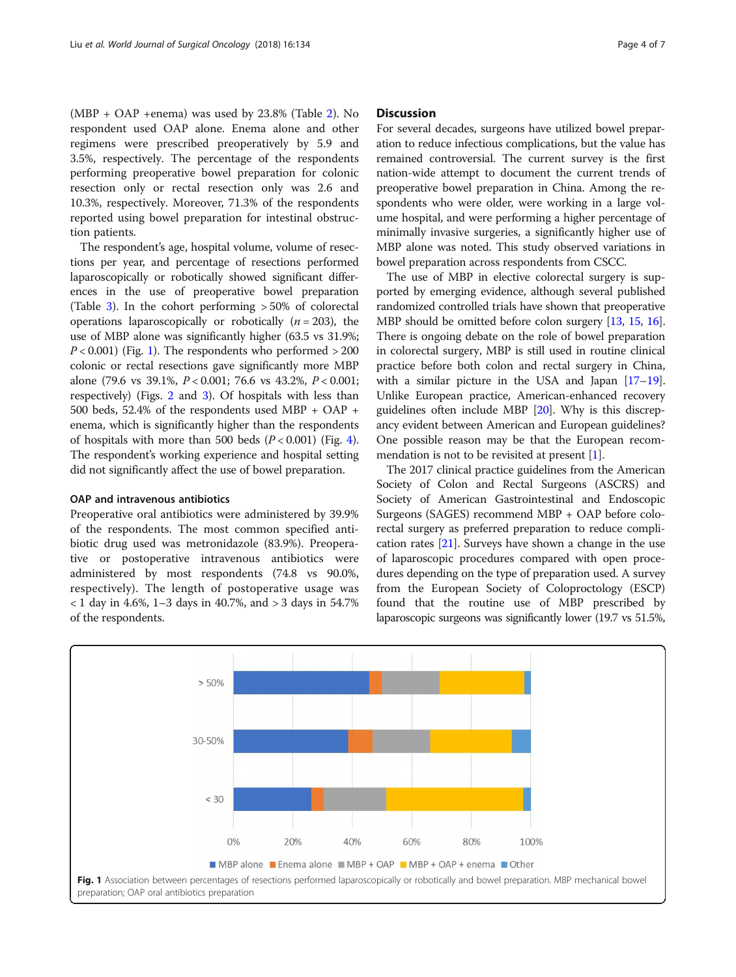(MBP + OAP +enema) was used by 23.8% (Table [2](#page-1-0)). No respondent used OAP alone. Enema alone and other regimens were prescribed preoperatively by 5.9 and 3.5%, respectively. The percentage of the respondents performing preoperative bowel preparation for colonic resection only or rectal resection only was 2.6 and 10.3%, respectively. Moreover, 71.3% of the respondents reported using bowel preparation for intestinal obstruction patients.

The respondent's age, hospital volume, volume of resections per year, and percentage of resections performed laparoscopically or robotically showed significant differences in the use of preoperative bowel preparation (Table [3\)](#page-2-0). In the cohort performing > 50% of colorectal operations laparoscopically or robotically  $(n = 203)$ , the use of MBP alone was significantly higher (63.5 vs 31.9%;  $P < 0.001$ ) (Fig. 1). The respondents who performed  $> 200$ colonic or rectal resections gave significantly more MBP alone (79.6 vs 39.1%, P < 0.001; 76.6 vs 43.2%, P < 0.001; respectively) (Figs. [2](#page-4-0) and [3\)](#page-4-0). Of hospitals with less than 500 beds, 52.4% of the respondents used MBP + OAP + enema, which is significantly higher than the respondents of hospitals with more than 500 beds  $(P < 0.001)$  (Fig. [4](#page-5-0)). The respondent's working experience and hospital setting did not significantly affect the use of bowel preparation.

## OAP and intravenous antibiotics

Preoperative oral antibiotics were administered by 39.9% of the respondents. The most common specified antibiotic drug used was metronidazole (83.9%). Preoperative or postoperative intravenous antibiotics were administered by most respondents (74.8 vs 90.0%, respectively). The length of postoperative usage was < 1 day in 4.6%, 1–3 days in 40.7%, and > 3 days in 54.7% of the respondents.

## **Discussion**

For several decades, surgeons have utilized bowel preparation to reduce infectious complications, but the value has remained controversial. The current survey is the first nation-wide attempt to document the current trends of preoperative bowel preparation in China. Among the respondents who were older, were working in a large volume hospital, and were performing a higher percentage of minimally invasive surgeries, a significantly higher use of MBP alone was noted. This study observed variations in bowel preparation across respondents from CSCC.

The use of MBP in elective colorectal surgery is supported by emerging evidence, although several published randomized controlled trials have shown that preoperative MBP should be omitted before colon surgery [\[13,](#page-6-0) [15](#page-6-0), [16](#page-6-0)]. There is ongoing debate on the role of bowel preparation in colorectal surgery, MBP is still used in routine clinical practice before both colon and rectal surgery in China, with a similar picture in the USA and Japan [\[17](#page-6-0)–[19](#page-6-0)]. Unlike European practice, American-enhanced recovery guidelines often include MBP [[20](#page-6-0)]. Why is this discrepancy evident between American and European guidelines? One possible reason may be that the European recommendation is not to be revisited at present  $[1]$  $[1]$ .

The 2017 clinical practice guidelines from the American Society of Colon and Rectal Surgeons (ASCRS) and Society of American Gastrointestinal and Endoscopic Surgeons (SAGES) recommend MBP + OAP before colorectal surgery as preferred preparation to reduce complication rates  $[21]$  $[21]$  $[21]$ . Surveys have shown a change in the use of laparoscopic procedures compared with open procedures depending on the type of preparation used. A survey from the European Society of Coloproctology (ESCP) found that the routine use of MBP prescribed by laparoscopic surgeons was significantly lower (19.7 vs 51.5%,

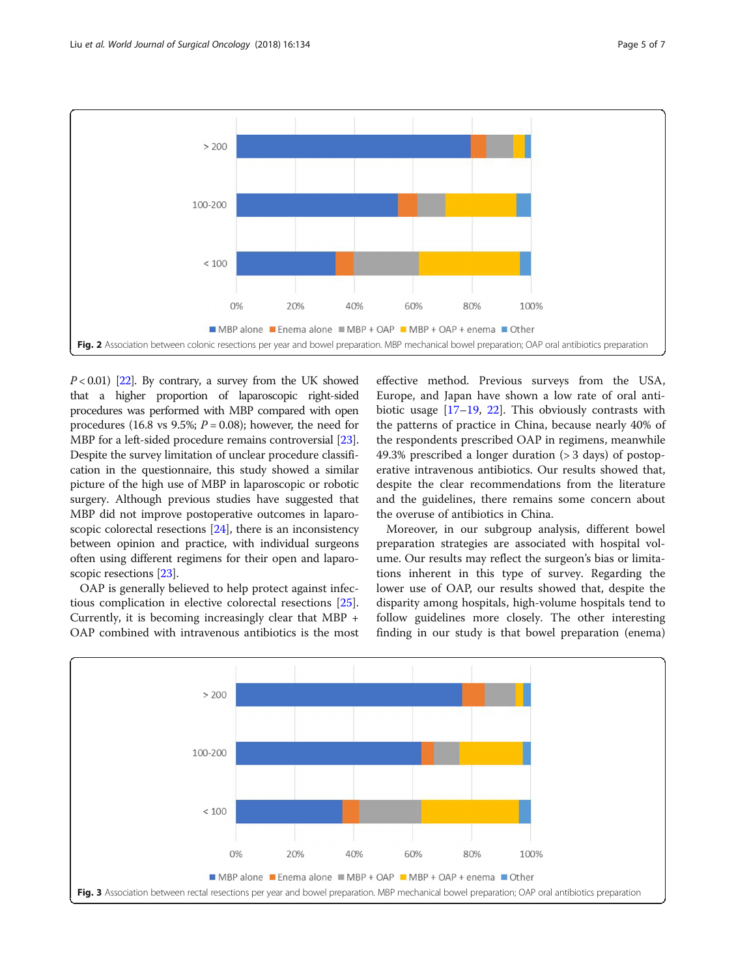<span id="page-4-0"></span>

 $P < 0.01$ ) [[22\]](#page-6-0). By contrary, a survey from the UK showed that a higher proportion of laparoscopic right-sided procedures was performed with MBP compared with open procedures (16.8 vs 9.5%;  $P = 0.08$ ); however, the need for MBP for a left-sided procedure remains controversial [[23](#page-6-0)]. Despite the survey limitation of unclear procedure classification in the questionnaire, this study showed a similar picture of the high use of MBP in laparoscopic or robotic surgery. Although previous studies have suggested that MBP did not improve postoperative outcomes in laparoscopic colorectal resections [\[24\]](#page-6-0), there is an inconsistency between opinion and practice, with individual surgeons often using different regimens for their open and laparoscopic resections [[23\]](#page-6-0).

OAP is generally believed to help protect against infectious complication in elective colorectal resections [\[25](#page-6-0)]. Currently, it is becoming increasingly clear that MBP + OAP combined with intravenous antibiotics is the most

effective method. Previous surveys from the USA, Europe, and Japan have shown a low rate of oral antibiotic usage [\[17](#page-6-0)–[19,](#page-6-0) [22](#page-6-0)]. This obviously contrasts with the patterns of practice in China, because nearly 40% of the respondents prescribed OAP in regimens, meanwhile 49.3% prescribed a longer duration (> 3 days) of postoperative intravenous antibiotics. Our results showed that, despite the clear recommendations from the literature and the guidelines, there remains some concern about the overuse of antibiotics in China.

Moreover, in our subgroup analysis, different bowel preparation strategies are associated with hospital volume. Our results may reflect the surgeon's bias or limitations inherent in this type of survey. Regarding the lower use of OAP, our results showed that, despite the disparity among hospitals, high-volume hospitals tend to follow guidelines more closely. The other interesting finding in our study is that bowel preparation (enema)

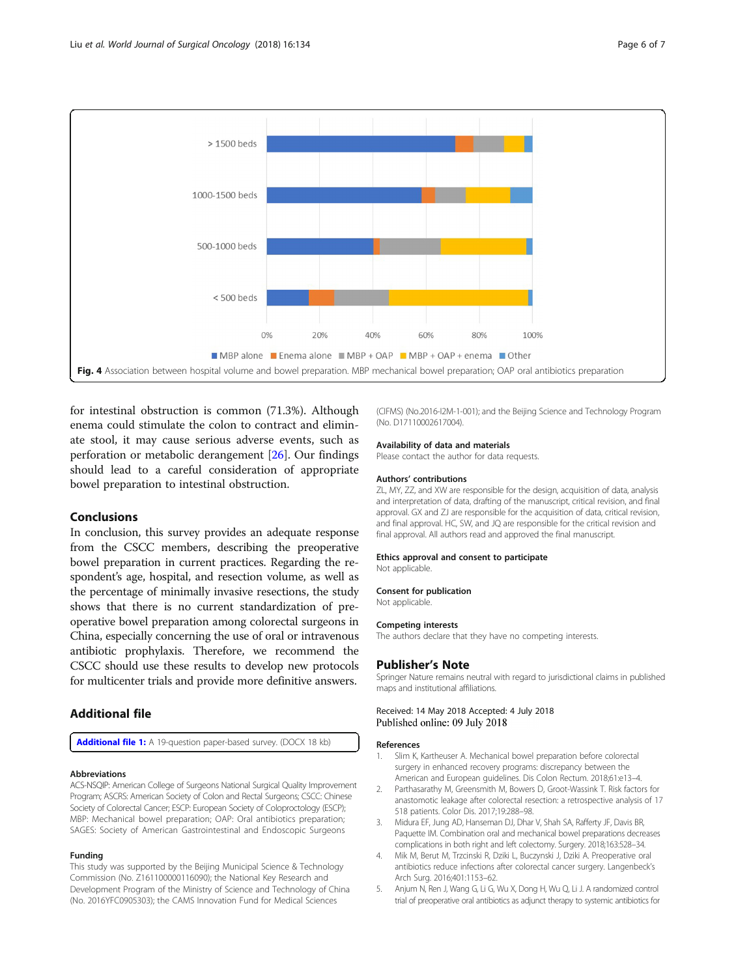<span id="page-5-0"></span>

for intestinal obstruction is common (71.3%). Although enema could stimulate the colon to contract and eliminate stool, it may cause serious adverse events, such as perforation or metabolic derangement [[26\]](#page-6-0). Our findings should lead to a careful consideration of appropriate bowel preparation to intestinal obstruction.

## Conclusions

In conclusion, this survey provides an adequate response from the CSCC members, describing the preoperative bowel preparation in current practices. Regarding the respondent's age, hospital, and resection volume, as well as the percentage of minimally invasive resections, the study shows that there is no current standardization of preoperative bowel preparation among colorectal surgeons in China, especially concerning the use of oral or intravenous antibiotic prophylaxis. Therefore, we recommend the CSCC should use these results to develop new protocols for multicenter trials and provide more definitive answers.

## Additional file

[Additional file 1:](https://doi.org/10.1186/s12957-018-1440-4) A 19-question paper-based survey. (DOCX 18 kb)

#### Abbreviations

ACS-NSQIP: American College of Surgeons National Surgical Quality Improvement Program; ASCRS: American Society of Colon and Rectal Surgeons; CSCC: Chinese Society of Colorectal Cancer; ESCP: European Society of Coloproctology (ESCP); MBP: Mechanical bowel preparation; OAP: Oral antibiotics preparation; SAGES: Society of American Gastrointestinal and Endoscopic Surgeons

#### Funding

This study was supported by the Beijing Municipal Science & Technology Commission (No. Z161100000116090); the National Key Research and Development Program of the Ministry of Science and Technology of China (No. 2016YFC0905303); the CAMS Innovation Fund for Medical Sciences

(CIFMS) (No.2016-I2M-1-001); and the Beijing Science and Technology Program (No. D17110002617004).

#### Availability of data and materials

Please contact the author for data requests.

#### Authors' contributions

ZL, MY, ZZ, and XW are responsible for the design, acquisition of data, analysis and interpretation of data, drafting of the manuscript, critical revision, and final approval. GX and ZJ are responsible for the acquisition of data, critical revision, and final approval. HC, SW, and JQ are responsible for the critical revision and final approval. All authors read and approved the final manuscript.

## Ethics approval and consent to participate

Not applicable.

#### Consent for publication

Not applicable.

#### Competing interests

The authors declare that they have no competing interests.

#### Publisher's Note

Springer Nature remains neutral with regard to jurisdictional claims in published maps and institutional affiliations.

#### Received: 14 May 2018 Accepted: 4 July 2018 Published online: 09 July 2018

#### References

- 1. Slim K, Kartheuser A. Mechanical bowel preparation before colorectal surgery in enhanced recovery programs: discrepancy between the American and European guidelines. Dis Colon Rectum. 2018;61:e13–4.
- 2. Parthasarathy M, Greensmith M, Bowers D, Groot-Wassink T. Risk factors for anastomotic leakage after colorectal resection: a retrospective analysis of 17 518 patients. Color Dis. 2017;19:288–98.
- 3. Midura EF, Jung AD, Hanseman DJ, Dhar V, Shah SA, Rafferty JF, Davis BR, Paquette IM. Combination oral and mechanical bowel preparations decreases complications in both right and left colectomy. Surgery. 2018;163:528–34.
- 4. Mik M, Berut M, Trzcinski R, Dziki L, Buczynski J, Dziki A. Preoperative oral antibiotics reduce infections after colorectal cancer surgery. Langenbeck's Arch Surg. 2016;401:1153–62.
- 5. Anjum N, Ren J, Wang G, Li G, Wu X, Dong H, Wu Q, Li J. A randomized control trial of preoperative oral antibiotics as adjunct therapy to systemic antibiotics for